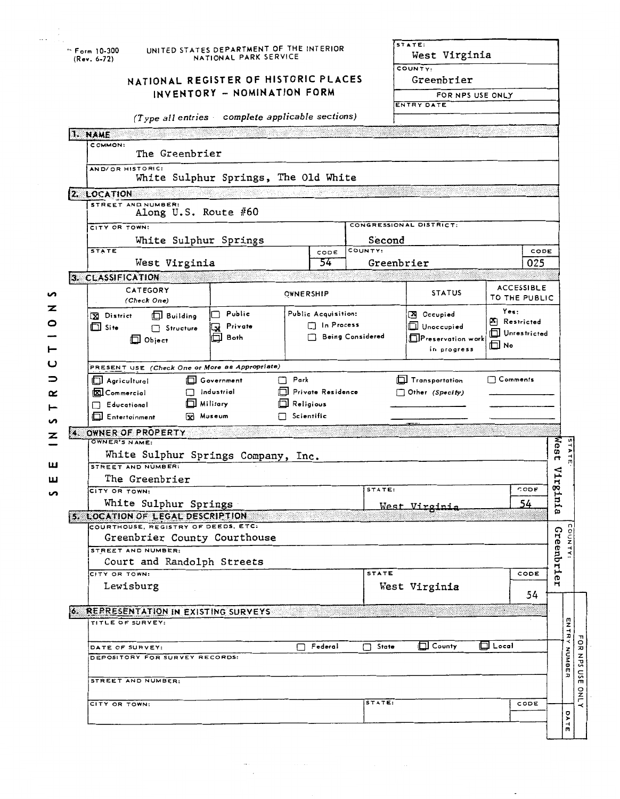|                  | <sup>⊷</sup> Form 10-300<br>$(Rev. 6-72)$                            | UNITED STATES DEPARTMENT OF THE INTERIOR<br>NATIONAL PARK SERVICE |                                                                                   |                                                      |                                   | STATE:<br>West Virginia                                      |                                                          |                                    |              |  |  |
|------------------|----------------------------------------------------------------------|-------------------------------------------------------------------|-----------------------------------------------------------------------------------|------------------------------------------------------|-----------------------------------|--------------------------------------------------------------|----------------------------------------------------------|------------------------------------|--------------|--|--|
|                  |                                                                      |                                                                   | INVENTORY - NOMINATION FORM                                                       | NATIONAL REGISTER OF HISTORIC PLACES                 |                                   |                                                              | COUNTY:<br>Greenbrier<br>FOR NPS USE ONLY                |                                    |              |  |  |
|                  | (Type all entries complete applicable sections)                      |                                                                   |                                                                                   |                                                      |                                   |                                                              | ENTRY DATE                                               |                                    |              |  |  |
|                  | 1. NAME                                                              |                                                                   |                                                                                   |                                                      |                                   |                                                              |                                                          |                                    |              |  |  |
|                  | COMMON:                                                              | The Greenbrier                                                    |                                                                                   |                                                      |                                   |                                                              |                                                          |                                    |              |  |  |
|                  | AND/OR HISTORIC:                                                     |                                                                   | White Sulphur Springs, The Old White                                              |                                                      |                                   |                                                              |                                                          |                                    |              |  |  |
|                  | 2. LOCATION                                                          |                                                                   |                                                                                   |                                                      |                                   |                                                              |                                                          |                                    |              |  |  |
|                  | STREET AND NUMBER:<br>Along U.S. Route #60                           |                                                                   |                                                                                   |                                                      |                                   |                                                              |                                                          |                                    |              |  |  |
|                  | CITY OR TOWN:<br>White Sulphur Springs                               |                                                                   |                                                                                   |                                                      | CONGRESSIONAL DISTRICT:<br>Second |                                                              |                                                          |                                    |              |  |  |
|                  | <b>STATE</b>                                                         |                                                                   |                                                                                   |                                                      | COUNTY:<br>CODE                   |                                                              |                                                          | CODE                               |              |  |  |
|                  | 3. CLASSIFICATION                                                    | West Virginia                                                     |                                                                                   |                                                      | 54                                |                                                              | Greenbrier                                               | 025                                |              |  |  |
| n                | CATEGORY<br>(Check One)                                              |                                                                   |                                                                                   | OWNERSHIP                                            |                                   |                                                              | <b>STATUS</b>                                            | <b>ACCESSIBLE</b><br>TO THE PUBLIC |              |  |  |
| z<br>O<br>⊢      | <b>X</b> District<br><b>Building</b><br>$\Box$ Site<br>$\Box$ Object | ∩ Public<br>Private<br>□ Both                                     | Public Acquisition:<br>□ In Process<br><b>Being Considered</b>                    |                                                      |                                   | X Occupied<br>Unoccupied<br>Preservation work<br>in progress | Yes:<br><b>A</b> Restricted<br>Unrestricted<br>$\Box$ No |                                    |              |  |  |
|                  |                                                                      |                                                                   | PRESENT USE (Check One or More as Appropriate)                                    |                                                      |                                   |                                                              |                                                          |                                    |              |  |  |
| ⊃<br>œ<br>⊢<br>n | Agricultural<br>XI Commercial<br>$\Box$ Educational<br>Entertainment |                                                                   | <b>Next</b> Government<br>$\Box$ Industrial<br>$\Box$ Military<br><b>x</b> Museum | $\Box$ Park<br>$\Box$ Religious<br>$\Box$ Scientific | Private Residence                 |                                                              | Transportation<br>Other (Specify)                        | $\Box$ Comments                    |              |  |  |
| z                | 4. OWNER OF PROPERTY                                                 |                                                                   |                                                                                   |                                                      |                                   |                                                              |                                                          |                                    |              |  |  |
|                  | OWNER'S NAME:                                                        |                                                                   |                                                                                   |                                                      |                                   |                                                              |                                                          |                                    | West         |  |  |
| ш                | STREET AND NUMBER:                                                   | White Sulphur Springs Company, Inc.                               |                                                                                   |                                                      |                                   |                                                              |                                                          |                                    |              |  |  |
| ш                | The Greenbrier                                                       |                                                                   |                                                                                   |                                                      |                                   |                                                              |                                                          |                                    | TIA<br>œ     |  |  |
| n                | CITY OR TOWN:                                                        | White Sulphur Springs                                             |                                                                                   |                                                      |                                   | STATE:                                                       |                                                          | CODE<br>54                         | inia         |  |  |
|                  | 5. LOCATION OF LEGAL DESCRIPTION                                     |                                                                   |                                                                                   |                                                      |                                   |                                                              | West Virginia                                            |                                    |              |  |  |
|                  | COURTHOUSE, REGISTRY OF DEEDS, ETC:                                  |                                                                   | Greenbrier County Courthouse                                                      |                                                      |                                   |                                                              |                                                          |                                    |              |  |  |
|                  | STREET AND NUMBER:                                                   |                                                                   |                                                                                   |                                                      |                                   |                                                              |                                                          |                                    | Greenbrie    |  |  |
|                  |                                                                      |                                                                   | Court and Randolph Streets                                                        |                                                      |                                   |                                                              |                                                          |                                    |              |  |  |
|                  | CITY OR TOWN:<br>Lewisburg                                           |                                                                   |                                                                                   |                                                      |                                   | <b>STATE</b>                                                 | West Virginia                                            | CODE<br>54                         |              |  |  |
|                  |                                                                      |                                                                   | 6. REPRESENTATION IN EXISTING SURVEYS                                             |                                                      |                                   |                                                              |                                                          | 33                                 |              |  |  |
|                  | TITLE OF SURVEY:                                                     |                                                                   |                                                                                   |                                                      |                                   |                                                              |                                                          |                                    | ENTRY NUMBER |  |  |
|                  | DATE OF SURVEY:<br>DEPOSITORY FOR SURVEY RECORDS:                    |                                                                   |                                                                                   | П                                                    | Federal                           | State<br>П                                                   | $\Box$ County                                            | $\overline{\Box}$ Local            |              |  |  |
|                  | STREET AND NUMBER:                                                   |                                                                   |                                                                                   |                                                      |                                   |                                                              |                                                          |                                    |              |  |  |
|                  |                                                                      |                                                                   |                                                                                   |                                                      |                                   | STATE:                                                       |                                                          | CODE                               |              |  |  |
|                  | CITY OR TOWN:                                                        |                                                                   |                                                                                   |                                                      |                                   |                                                              |                                                          |                                    | o<br>⋗       |  |  |
|                  |                                                                      |                                                                   |                                                                                   |                                                      |                                   |                                                              |                                                          |                                    | 급            |  |  |

 $\frac{1}{\sqrt{2}}\sum_{i=1}^{n} \frac{1}{\sqrt{2}}\left(\frac{1}{\sqrt{2}}\right)^{2} \left(\frac{1}{\sqrt{2}}\right)^{2} \left(\frac{1}{\sqrt{2}}\right)^{2} \left(\frac{1}{\sqrt{2}}\right)^{2}$ 

 $\ddot{\phantom{a}}$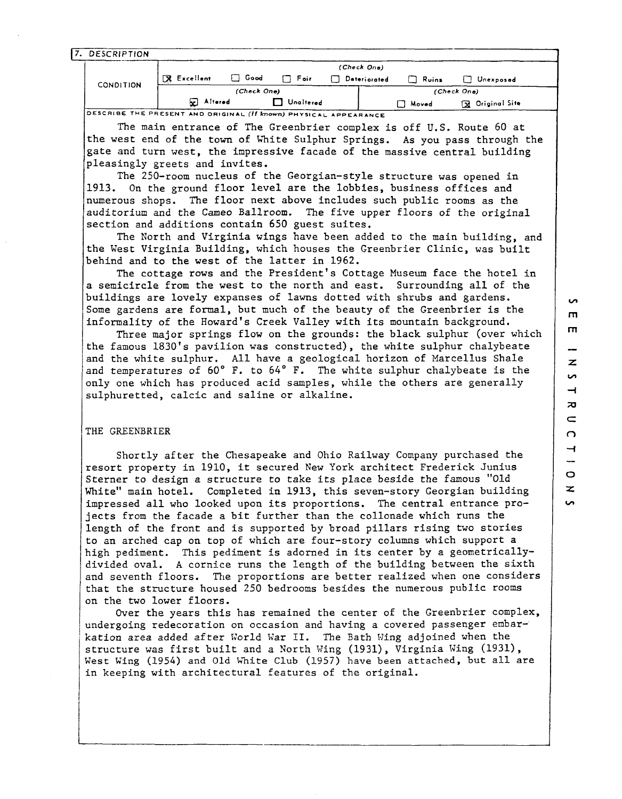7. DESCRIPTION

|                  | (Check One)       |        |           |              |                |                         |  |  |
|------------------|-------------------|--------|-----------|--------------|----------------|-------------------------|--|--|
| <b>CONDITION</b> | $R$ Excellent     | □ Good | □ Fair    | Deteriorated | $\sqcap$ Ruins | Unexposed               |  |  |
|                  | (Check One)       |        |           |              | (Check One)    |                         |  |  |
|                  | <b>Ed</b> Altered |        | Unaltered |              | Moved          | <b>To Original Site</b> |  |  |

The main entrance of The Greenbrier complex is off U.S. Route 60 at the west end of the town of mite Sulphur Springs. As you pass through the gate and turn west, the impressive facade of the massive central building pleasingly greets and invites.

The 250-room nucleus of the Georgian-style structure was opened in 1913. On the ground floor level are the lobbies, business offices and numerous shops. The floor next above includes such public rooms as the auditorium and the Cameo Ballroom. The five upper floors of the original section and additions contain 650 guest suites.

The North and Virginia wings have been added to the main building, and the West Virginia Building, which houses the Greenbrier Clinic, was built behind and to the west of the latter in 1962.

The cottage rows and the president's Cottage Museum face the hotel in a semicircle from the west to the north and east. Surrounding all of the buildings are lovely expanses of lawns dotted with shrubs and gardens. Some gardens are formal, but much of the beauty of the Greenbrier is the informality of the Howard's Creek Valley with its mountain background.

Three major springs flow on the grounds: the black sulphur (over which the famous 1830's pavilion was constructed), the white sulphur chalybeate and the white sulphur. All have a geological horizon of Marcellus Shale and temperatures of 60" F. to 64" F. The white sulphur chalybeate is the only one which has produced acid samples, while the others are generally sulphuretted, calcic and saline or alkaline.

#### THE GREENBRIER

Shortly after the Chesapeake and Ohio Railway Company purchased the resort property in 1910, it secured New York architect Frederick Junius Sterner to design a structure to take its place beside the famous "Old White" main hotel. Completed in 1913, this seven-story Georgian building impressed all who looked upon its proportions. The central entrance projects from the facade a bit further than the collonade which runs the length of the front and is supported by broad pillars rising two stories to an arched cap on top of which are four-story columns which support a high pediment. This pediment is adorned in its center by a geometricallydivided oval. **A** cornice runs the length of the building between the sixth and seventh floors. The proportions are better realized when one considers that the structure housed 250 bedrooms besides the numerous public rooms on the two lower floors.

Over the years this has remained the center of the Greenbrier complex, undergoing redecoration on occasion and having a covered passenger embarkation area added after World War II. The Bath Wing adjoined when the structure was first built and a North Wing (1931), Virginia Wing (1931), West Wing (1954) and Old White Club (1957) have been attached, but all are in keeping with architectural features of the original.

 $\mathbf{v}$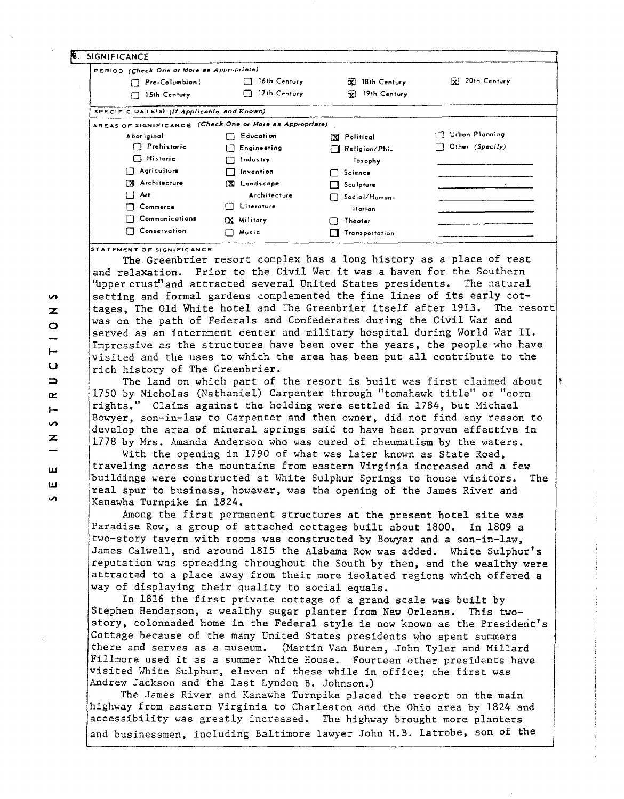| PERIOD (Check One or More as Appropriate)                |                    |                      |                              |
|----------------------------------------------------------|--------------------|----------------------|------------------------------|
| Pre-Columbian                                            | 16th Century       | 18th Century<br>X    | 20th Century<br>$\mathbf{x}$ |
| 15th Century                                             | 17th Century       | 19th Century<br>53   |                              |
| SPECIFIC DATES) (If Applicable and Known)                |                    |                      |                              |
| AREAS OF SIGNIFICANCE (Check One or More as Appropriate) |                    |                      |                              |
| Abor iginal                                              | <b>Education</b>   | X Political          | Urban Planning               |
| $\Box$ Prehistoric                                       | $\Box$ Engineering | $\Box$ Religion/Phi. | Other (Specify)<br>I I       |
| $\Box$ Historic                                          | Industry           | losophy              |                              |
| Agriculture<br>L.                                        | Invention          | $\Box$ Science       |                              |
| Architecture<br>ГX.                                      | X Landscape        | $\Box$ Sculpture     |                              |
| Art<br>n                                                 | Architecture       | └── Social/Human-    |                              |
| Commerce                                                 | Literature<br>1 I  | itarian              |                              |
| Communications                                           | X Military         | Theater<br>. .       |                              |
| Conservation                                             | Music              | Transportation       |                              |

**STATEMENT OF SIGNIFICANCE** 

The Greenbrier resort complex has a long history as a place of rest and relaxation. Prior to the Civil War it was a haven for the Southern 'upper crust'and attracted several United States presidents. The natural setting and formal gardens complemented the fine lines of its early cottages, The Old White hotel and The Greenbrier itself after 1913. The resor was on the path of Federals and Confederates during the Civil War and served as an internment center and military hospital during World War 11. Impressive as the structures have been over the years, the people who have visited and the uses to which the area has been put all contribute to the rich history of The Greenbrier.

The land on which part of the resort is built was first claimed about 1750 by Nicholas (Nathaniel) Carpenter through "tomahawk title" or "corn rights." Claims against the holding were settled in 1784, but Michael Bowyer, son-in-law to Carpenter and then owner, did not find any reason to develop the area of mineral springs said to have been proven effective in 1778 by Mrs. Amanda Anderson who was cured of rheumatism by the waters.

With the opening in 1790 of what was later known as State Road, traveling across the mountains from eastern Virginia increased and a few buildings were constructed at White Sulphur Springs to house visitors. The real spur to business, however, was the opening of the James River and Kanawha Turnpike in 1824.

Among the first permanent structures at the present hotel site was Paradise Row, a group of attached cottages built about 1800. In 1809 a two-story tavern with rooms was constructed by Bowyer and a son-in-law, James Calwell, and around 1815 the Alabama Row was added. White Sulphur's reputation was spreading throughout the South by then, and the wealthy were attracted to a place zway from their nore isolated regions which offered a way of displaying their quality to social equals.

In 1816 the first private cottage of a grand scale was built by Stephen Henderson, a wealthy sugar planter from New Orleans. This twostory, colonnaded home in the Federal style is now known as the President's Cottage because of the many United States presidents who spent summers there and serves as a museum. (Martin Van Buren, John Tyler and Millard Fillmore used it as a summer White House. Fourteen other presidents have visited White Sulphur, eleven of these while in office; the first was Andrew Jackson and the last Lyndon B. Johnson.)

The James River and Kanawha Turnpike placed the resort on the main highway from eastern Virginia to Charleston and the Ohio area by 1824 and accessibility was greatly increased. The highway brought more planters and businessmen, including Baltimore lawyer John H.B. Latrobe, son of the

 $\sim$  $\overline{z}$  $\circ$  $\overline{\phantom{0}}$  $\cup$  $\Rightarrow$  $\alpha$  $\vdash$  $\overline{a}$  $\mathbf{z}$ ш ш ΩĎ,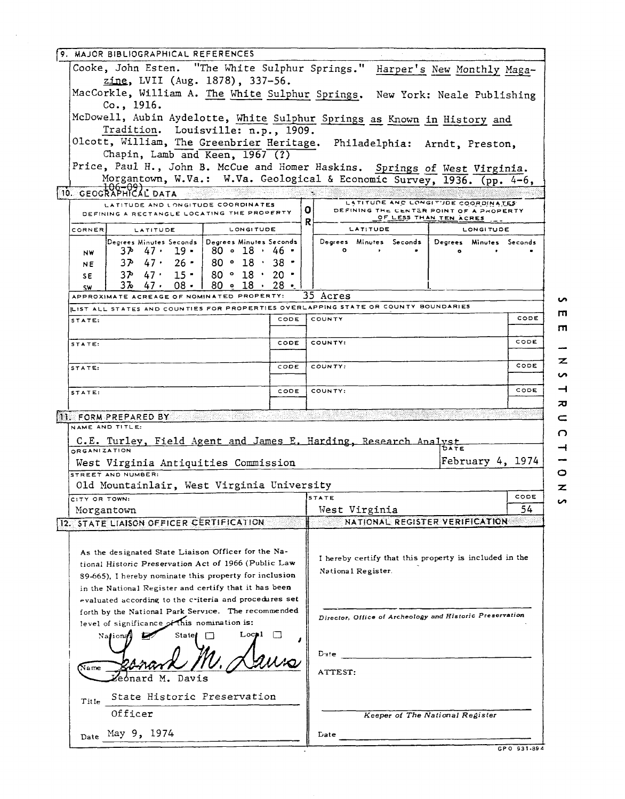| 9. MAJOR BIBLIOGRAPHICAL REFERENCES                                                                                              |             |                                                                              |                                            |           |  |
|----------------------------------------------------------------------------------------------------------------------------------|-------------|------------------------------------------------------------------------------|--------------------------------------------|-----------|--|
| Cooke, John Esten. "The White Sulphur Springs." Harper's New Monthly Maga-                                                       |             |                                                                              |                                            |           |  |
| zine, LVII (Aug. 1878), 337-56.                                                                                                  |             |                                                                              |                                            |           |  |
| MacCorkle, William A. The White Sulphur Springs. New York: Neale Publishing<br>Co., 1916.                                        |             |                                                                              |                                            |           |  |
| McDowell, Aubin Aydelotte, White Sulphur Springs as Known in History and                                                         |             |                                                                              |                                            |           |  |
| Tradition. Louisville: n.p., 1909.<br>Olcott, William, The Greenbrier Heritage. Philadelphia: Arndt, Preston,                    |             |                                                                              |                                            |           |  |
| Chapin, Lamb and Keen, 1967 (?)                                                                                                  |             |                                                                              |                                            |           |  |
| Price, Paul H., John B. McCue and Homer Haskins. Springs of West Virginia.                                                       |             |                                                                              |                                            |           |  |
| Morgantown, W.Va.: W.Va. Geological & Economic Survey, 1936. (pp. 4-6,                                                           |             |                                                                              |                                            |           |  |
| 10. GEOGRAPHICAL DATA<br>LATITUDE AND LONGITUDE COORDINATES<br>DEFINING A RECTANGLE LOCATING THE PROPERTY                        |             | ΟI<br>DEFINING THE CENTER POINT OF A PROPERTY                                | LATITUDE AND LONGITUDE COORDINATES         |           |  |
| CORNER<br><b>LONGITUDE</b><br>LATITUDE                                                                                           |             | R<br>LATITUDE                                                                | <u>OF LESS THAN TEN ACRES</u><br>LONGITUDE |           |  |
| $\mathsf{Degrees}$ Minutes Seconds $\mathsf{[Degrees]}$ Minutes Seconds                                                          |             | Degrees Minutes Seconds                                                      | Degrees Minutes Seconds                    |           |  |
| $37 - 47 - 19 - 80 - 18 - 46$<br>NW<br>$37 \cdot 47 \cdot 26 \cdot 80 \cdot 18 \cdot 38 \cdot$<br>NE.                            |             | $\circ$<br>$\mathbf{r}$                                                      |                                            |           |  |
| $37 \cdot 47 \cdot 15 \cdot 80 \cdot 18 \cdot 20$<br>SE.                                                                         |             |                                                                              |                                            |           |  |
| $3\frac{1}{2}$ 47, 08, 1<br>$80$ $\bullet$ $18 \cdot 28$ $\bullet$<br><b>SW</b>                                                  |             |                                                                              |                                            |           |  |
| APPROXIMATE ACREAGE OF NOMINATED PROPERTY:<br>LIST ALL STATES AND COUNTIES FOR PROPERTIES OVERLAPPING STATE OR COUNTY BOUNDARIES |             | 35 Acres                                                                     |                                            | ທ         |  |
| STATE:                                                                                                                           | CODE        | COUNTY                                                                       |                                            | ш<br>CODE |  |
|                                                                                                                                  |             |                                                                              |                                            | m         |  |
| STATE:                                                                                                                           | <b>CODE</b> | COUNTY:                                                                      |                                            | CODE      |  |
| STATE:                                                                                                                           | CODE        | COUNTY:                                                                      |                                            | z<br>CODE |  |
|                                                                                                                                  |             |                                                                              |                                            | n         |  |
| STATE:                                                                                                                           | CODE        | COUNTY:                                                                      |                                            | ᅴ<br>CODE |  |
| 11. FORM PREPARED BY                                                                                                             |             |                                                                              |                                            | ᅍ<br>c    |  |
| NAME AND TITLE:                                                                                                                  |             |                                                                              |                                            | C.        |  |
| C.E. Turley, Field Agent and James E. Harding, Research Analyst<br>ORGANIZATION                                                  |             |                                                                              |                                            |           |  |
| West Virginia Antiquities Commission                                                                                             |             |                                                                              | February 4, 1974                           |           |  |
| STREET AND NUMBER:                                                                                                               |             |                                                                              |                                            | O         |  |
| Old Mountainlair, West Virginia University                                                                                       |             |                                                                              |                                            | z<br>CODE |  |
| CITY OR TOWN:<br>Morgantown                                                                                                      |             | <b>STATE</b><br>West Virginia                                                |                                            | n<br>54   |  |
| 12. STATE LIAISON OFFICER CERTIFICATION                                                                                          |             | NATIONAL REGISTER VERIFICATION                                               |                                            |           |  |
|                                                                                                                                  |             |                                                                              |                                            |           |  |
| As the designated State Liaison Officer for the Na-                                                                              |             |                                                                              |                                            |           |  |
| tional Historic Preservation Act of 1966 (Public Law                                                                             |             | I hereby certify that this property is included in the<br>National Register. |                                            |           |  |
| 89-665), I hereby nominate this property for inclusion                                                                           |             |                                                                              |                                            |           |  |
| in the National Register and certify that it has been<br>evaluated according to the criteria and procedures set                  |             |                                                                              |                                            |           |  |
| forth by the National Park Service. The recommended                                                                              |             | Director, Office of Archeology and Historic Preservation                     |                                            |           |  |
| level of significance of this nomination is:                                                                                     |             |                                                                              |                                            |           |  |
| Loc≱l<br>State<br>National                                                                                                       |             |                                                                              |                                            |           |  |
|                                                                                                                                  |             | Date                                                                         |                                            |           |  |
| $N$ ame                                                                                                                          |             | ATTEST:                                                                      |                                            |           |  |
| eonard M.<br>Davis                                                                                                               |             |                                                                              |                                            |           |  |
| State Historic Preservation<br>Title                                                                                             |             |                                                                              |                                            |           |  |
| Officer                                                                                                                          |             |                                                                              | Keeper of The National Register            |           |  |
| Date May 9, 1974                                                                                                                 |             | <b>Date</b>                                                                  |                                            |           |  |
|                                                                                                                                  |             |                                                                              | GPO 931-894                                |           |  |

 $\bar{a}$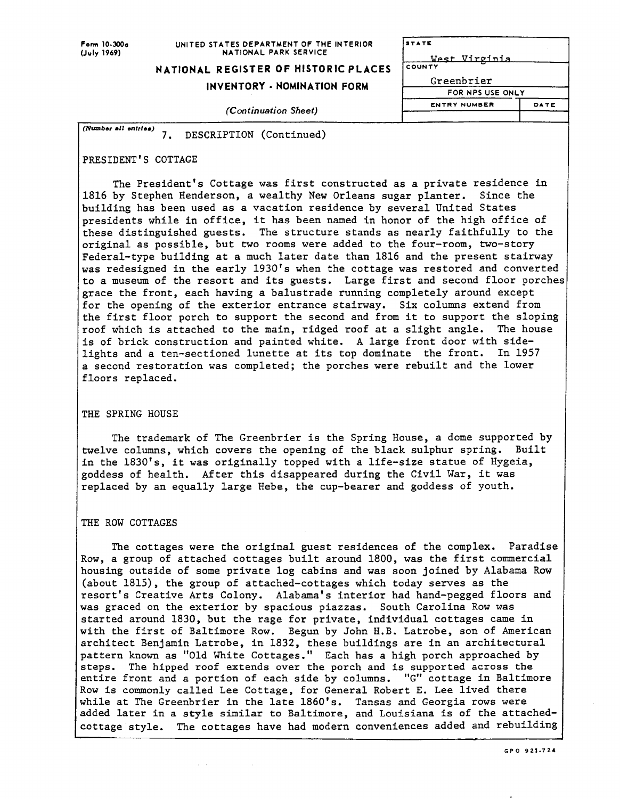#### **Form 10-300a UNITED STATES DEPARTMENT OF THE INTERIOR**<br>(July 1969) **NATIONAL PARK SERVICE NATIONAL PARK SERVICE**

## **NATIONAL REGISTER OF HISTORIC PLACES**

# **INVENTORY** - **NOMINATION FORM**

**STATE** West Virginia COUNTY Greenbrier FOR NPS USE ONLY -- **ENTRY NUMBER DATE**  I

*(Con tinuation Sheet)* 

*(Number* **all** *enttlea)*  7. DESCRIPTION (Continued)

## PRESIDENT'S COTTAGE

The President's Cottage was first constructed as a private residence in 1816 by Stephen Henderson, a wealthy New Orleans sugar planter. Since the building has been used as a vacation residence by several United States presidents while in office, it has been named in honor of the high office of these distinguished guests. The structure stands as nearly faithfully to the original as possible, but two rooms were added to the four-room, two-story Federal-type building at a much later date than 1816 and the present stairway was redesigned in the early 1930's when the cottage was restored and converted to a museum of the resort and its guests. Large first and second floor porche grace the front, each having a balustrade running completely around except for the opening of the exterior entrance stairway. Six columns extend from the first floor porch to support the second and from it to support the sloping roof which is attached to the main, ridged roof at a slight angle. The house is of brick construction and painted white. **A** large front door with sidelights and a ten-sectioned lunette at its top dominate the front. In 1957 a second restoration was completed; the porches were rebuilt and the lower floors replaced.

## THE SPRING HOUSE

The trademark of The Greenbrier is the Spring House, a dome supported by twelve columns, which covers the opening of the black sulphur spring. Built in the 1830's, it was originally topped with a life-size statue of Hygeia, goddess of health. After this disappeared during the Civil War, it was replaced by an equally large Hebe, the cup-bearer and goddess of youth.

### THE ROW COTTAGES

The cottages were the original guest residences of the complex. Paradise Row, a group of attached cottages built around 1800, was the first commercial housing outside of some private log cabins and was soon joined by Alabama Row (about 1815), the group of attached-cottages which today serves as the resort's Creative Arts Colony. Alabama's interior had hand-pegged floors and was graced on the exterior by spacious piazzas. South Carolina Row was started around 1830, but the rage for private, individual cottages came in with the first of Baltimore Row. Begun by John H.B. Latrobe, son of American architect Benjamin Latrobe, in 1832, these buildings are in an architectural pattern known as "Old White Cottages." Each has a high porch approached by steps. The hipped roof extends over the porch and is supported across the entire front and a portion of each side by columns. "G" cottage in Baltimore Row is commonly called Lee Cottage, for General Robert E. Lee lived there while at The Greenbrier in the late 1860's. Tansas and Georgia rows were added later in a style similar to Baltimore, and Louisiana is of the attachedcottage style. The cottages have had modern conveniences added and rebuilding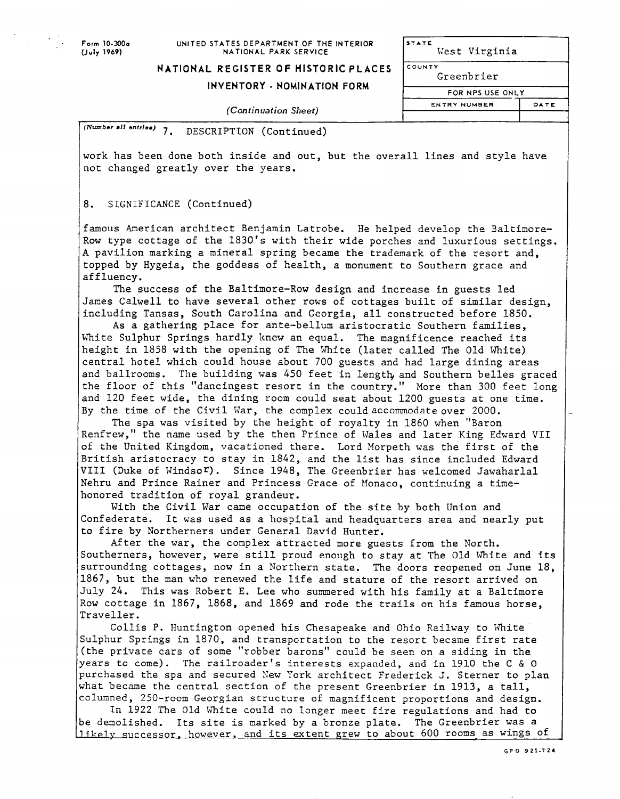#### **Form 10-300s UNITED STATES DEPARTMENT OF THE INTERIOR**<br>(July 1969) **BATIONAL PARK SERVICE NATIONAL PARK SERVICE**

**STATE**  West Virginia

**1 I** 

**ENTRY NUMeER** 

I

## **NATIONAL REGISTER OF HISTORIC PLACES**

# INVENTORY - NOMINATION FORM FOR NPS USE ONLY

**'OUNTY**  Greenbrier

**J**   $\exists$ 

**DATE** 

I

**(Continuation** *Sheet)* 

*(Number* **a11 entrle.)** 7. DESCRIPTION (Continued)

work has been done both inside and out, but the overall lines and style have not changed greatly over the years.

## 8. SIGNIFICANCE (Continued)

famous American architect Benjamin Latrobe. He helped develop the Baltimore-Row type cottage of the 1830's with their wide porches and luxurious settings. **A** pavilion marking a mineral sprtng became the trademark of the resort and, topped by Hygeia, the goddess of health, a monument to Southern grace and affluency.

The success of the Baltimore-Row design and increase in guests led James Calwell to have several other rows of cottages built of similar design, including Tansas, South Carolina and Georgia, all constructed before 1850.

As a gathering place for ante-bellum aristocratic Southern families, White Sulphur Springs hardly knew an equal. The magnificence reached its height in 1858 with the opening of The White (later called The Old White) central hotel which could house about 700 guests and had large dining areas and ballrooms. The building was 450 feet in length, and Southern belles graced the floor of this "dancingest resort in the country." More than 300 feet long and 120 feet wide, the dining room could seat about 1200 guests at one tine. By the time of the Civil War, the complex could accommodate over 2000.

The spa was visited by the height of royalty in 1860 when "Baron Renfrew," the name used by the then Prince of Vales and later King Edward VII of the United Kingdom, vacationed there. Lord Morpeth was the first of the British aristocracy to stay in 1842, and the list has since included Edward VIII (Duke of Windsor). Since 1948, The Greenbrier has welcomed Jawaharlal Nehru and Prince Rainer and Princess Grace of Monaco, continuing a timehonored tradition of royal grandeur.

With the Civil War came occupation of the site by both Union and Confederate. It was used as a hospital and headquarters area and nearly put to fire by Northerners under General David Hunter.

After the war, the complex attracted more guests from the North. Southerners, however, were still proud enough to stay at The Old White and its surrounding cottages, now in a Northern state. The doors reopened on June 18, 1867, but the man who renewed the life and stature of the resort arrived on July 24. This was Robert E. Lee who summered with his family at a Baltimore Row cottage in 1867, 1868, and 1869 and rode the trails on his famous horse, Traveller.

Collis P. Huntington opened his Chesapeake and Ohio Railway to White Sulphur Springs in 1870, and transportation to the resort became first rate (the private cars of some "robber barons" could be seen on a siding in the years to come). The railroader's interests expanded, and in 1910 the C *h* **0**  purchased the spa and secured Xew Pork architect Frederick J. Sterner to plan what became the central section of the present Greenbrier in 1913, a tall, columned, 250-room Georgian structure of magnificent proportions and design.

In 1922 The Old White could no longer meet fire regulations and had to be demolished. Its site is marked by a bronze plate. The Greenbrier was a 11 ikely successor, however, and its extent grew to about 600 rooms as wings of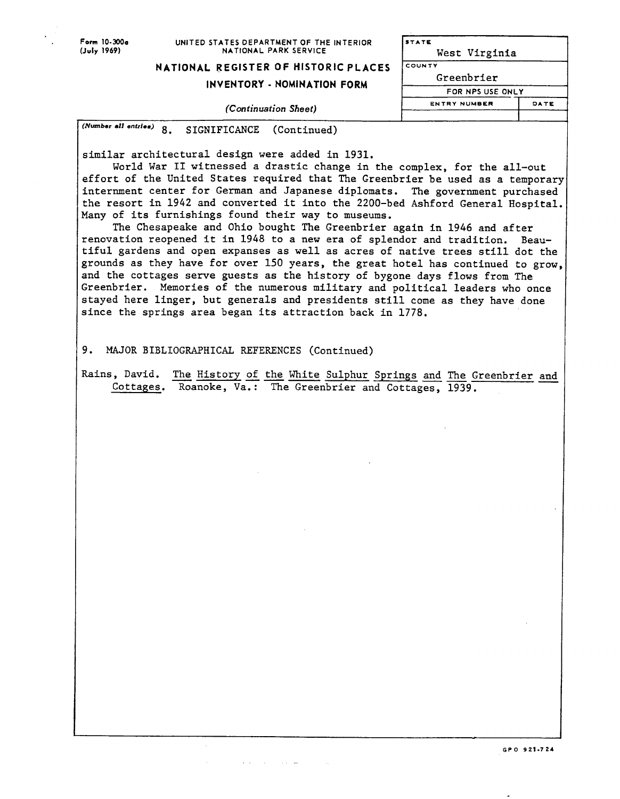## **Form 10-300e** UNITED STATES DEPARTMENT OF THE INTERIOR **STATE** (July 1969) **(JUIY 1969) NATIONAL PARK SERVICE** West Virginia

**NATIONAL REGISTER OF HISTORIC PLACES** 

# **INVENTORY** - **NOMINATION FORM**

Greenbrier **FOR NPS USE ONLY ENTRY NUMBER DATE** 

I

**(Continuation Sheet)** 

*(Number* **el1** *entriem)* 8. SIGNIFICANCE (Continued)

similar architectural design were added in 1931.

World War I1 witnessed a drastic change in the complex, for the all-out effort of the United States required that The Greenbrier be used as a temporary internment center for German and Japanese diplomats. The government purchased the resort in 1942 and converted it into the 2200-bed Ashford General Hospital. Many of its furnishings found their way to museums.

The Chesapeake and Ohio bought The Greenbrier again in 1946 and after renovation reopened it in 1948 to a new era of splendor and tradition. Beautiful gardens and open expanses as well as acres of native trees still dot the grounds as they have for over 150 years, the great hotel has continued to grow and the cottages serve guests as the history of bygone days flows from The Greenbrier. Memories of the numerous military and political leaders who once stayed here linger, but generals and presidents still come as they have done since the springs area began its attraction back in 1778.

9. MAJOR BIBLIOGRAPHICAL REFERENCES (Continued)

state of the control and

Rains, David. The History of the White Sulphur Springs and The Greenbrier and Cottages. Roanoke, Va.: The Greenbrier and Cottages, 1939.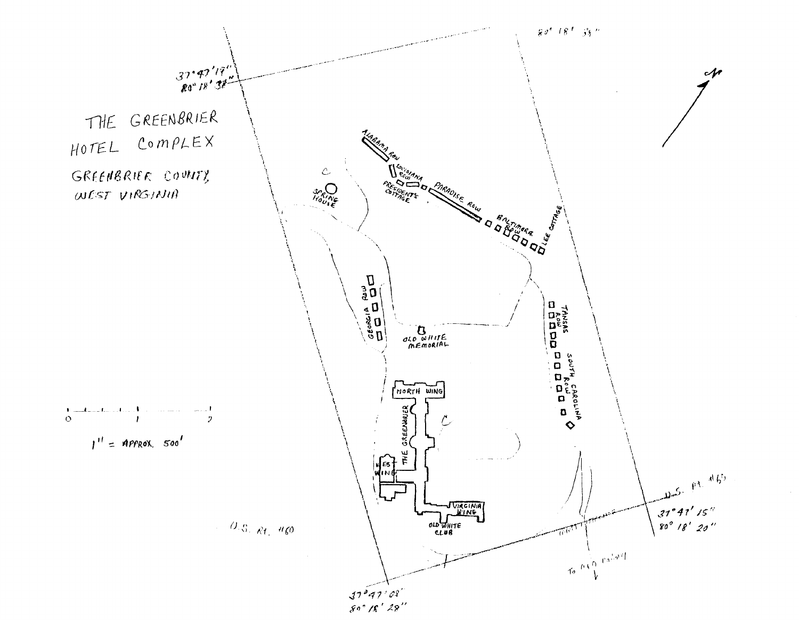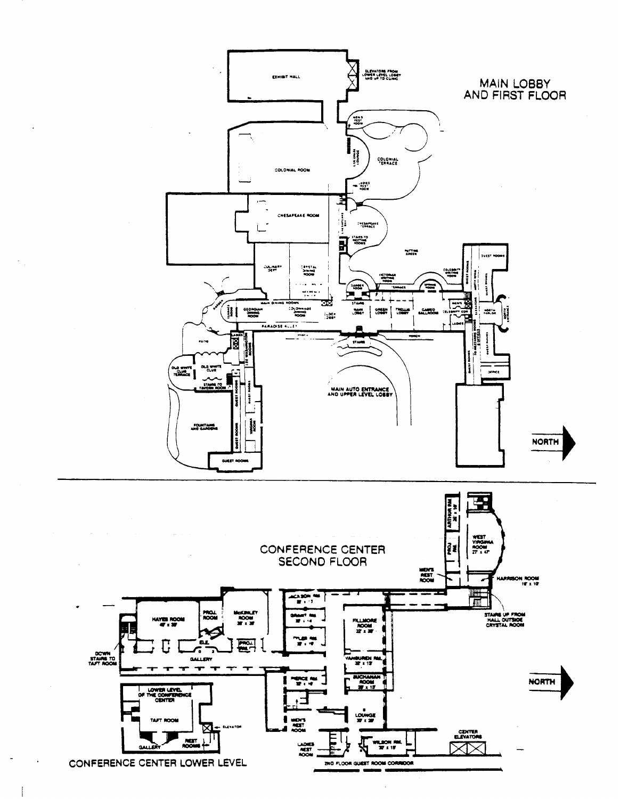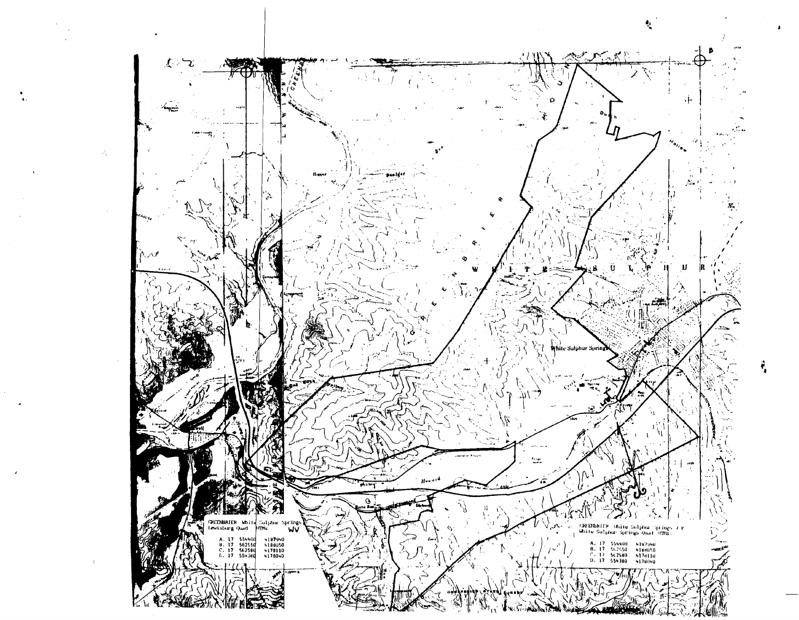